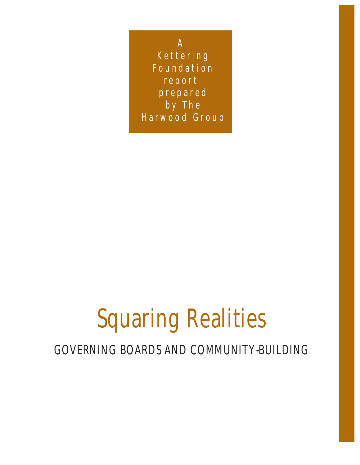A Kettering Foundation report prepared by The Harwood Group

## Squaring Realities

### GOVERNING BOARDS AND COMMUNITY-BUILDING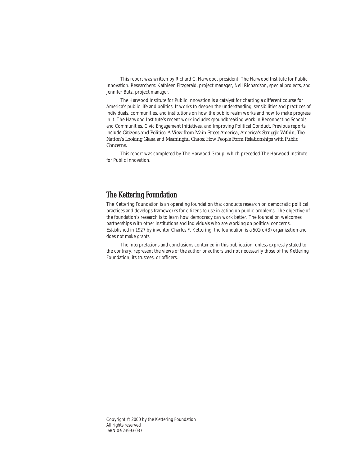This report was written by Richard C. Harwood, president, The Harwood Institute for Public Innovation. Researchers: Kathleen Fitzgerald, project manager, Neil Richardson, special projects, and Jennifer Butz, project manager.

The Harwood Institute for Public Innovation is a catalyst for charting a different course for America's public life and politics. It works to deepen the understanding, sensibilities and practices of individuals, communities, and institutions on how the public realm works and how to make progress in it. The Harwood Institute's recent work includes groundbreaking work in Reconnecting Schools and Communities, Civic Engagement Initiatives, and Improving Political Conduct. Previous reports include *Citizens and Politics: A View from Main Street America, America's Struggle Within, The Nation's Looking Glass,* and *Meaningful Chaos: How People Form Relationships with Public Concerns.*

This report was completed by The Harwood Group, which preceded The Harwood Institute for Public Innovation.

### **The Kettering Foundation**

The Kettering Foundation is an operating foundation that conducts research on democratic political practices and develops frameworks for citizens to use in acting on public problems. The objective of the foundation's research is to learn how democracy can work better. The foundation welcomes partnerships with other institutions and individuals who are working on political concerns. Established in 1927 by inventor Charles F. Kettering, the foundation is a 501(c)(3) organization and does not make grants.

The interpretations and conclusions contained in this publication, unless expressly stated to the contrary, represent the views of the author or authors and not necessarily those of the Kettering Foundation, its trustees, or officers.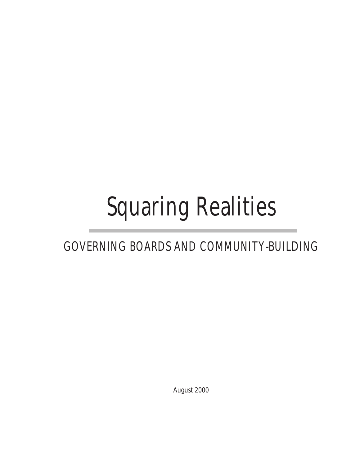# Squaring Realities

### GOVERNING BOARDS AND COMMUNITY-BUILDING

August 2000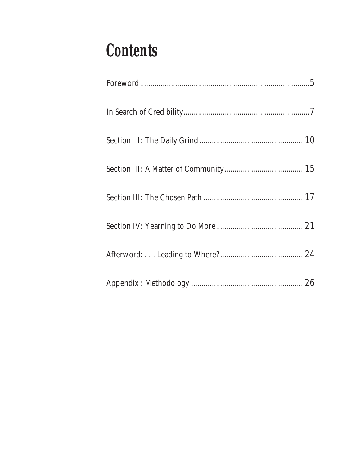## **Contents**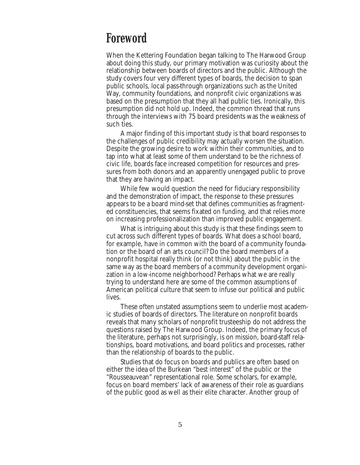### **Foreword**

When the Kettering Foundation began talking to The Harwood Group about doing this study, our primary motivation was curiosity about the relationship between boards of directors and the public. Although the study covers four very different types of boards, the decision to span public schools, local pass-through organizations such as the United Way, community foundations, and nonprofit civic organizations was based on the presumption that they all had public ties. Ironically, this presumption did not hold up. Indeed, the common thread that runs through the interviews with 75 board presidents was the weakness of such ties.

A major finding of this important study is that board responses to the challenges of public credibility may actually worsen the situation. Despite the growing desire to work within their communities, and to tap into what at least some of them understand to be the richness of civic life, boards face increased competition for resources and pressures from both donors and an apparently unengaged public to prove that they are having an impact.

While few would question the need for fiduciary responsibility and the demonstration of impact, the response to these pressures appears to be a board mind-set that defines communities as fragmented constituencies, that seems fixated on funding, and that relies more on increasing professionalization than improved public engagement.

What is intriguing about this study is that these findings seem to cut across such different types of boards. What does a school board, for example, have in common with the board of a community foundation or the board of an arts council? Do the board members of a nonprofit hospital really think (or not think) about the public in the same way as the board members of a community development organization in a low-income neighborhood? Perhaps what we are really trying to understand here are some of the common assumptions of American political culture that seem to infuse our political and public lives.

These often unstated assumptions seem to underlie most academic studies of boards of directors. The literature on nonprofit boards reveals that many scholars of nonprofit trusteeship do not address the questions raised by The Harwood Group. Indeed, the primary focus of the literature, perhaps not surprisingly, is on mission, board-staff relationships, board motivations, and board politics and processes, rather than the relationship of boards to the public.

Studies that do focus on boards and publics are often based on either the idea of the Burkean "best interest" of the public or the "Rousseauvean" representational role. Some scholars, for example, focus on board members' lack of awareness of their role as guardians of the public good as well as their elite character. Another group of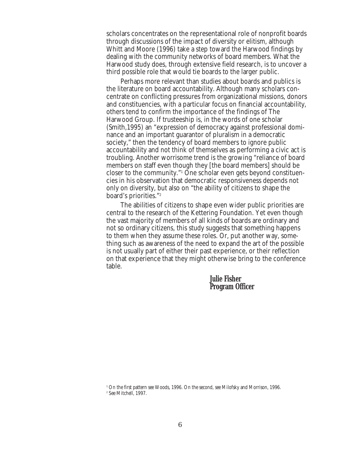scholars concentrates on the representational role of nonprofit boards through discussions of the impact of diversity or elitism, although Whitt and Moore (1996) take a step toward the Harwood findings by dealing with the community networks of board members. What the Harwood study does, through extensive field research, is to uncover a third possible role that would tie boards to the larger public.

Perhaps more relevant than studies about boards and publics is the literature on board accountability. Although many scholars concentrate on conflicting pressures from organizational missions, donors and constituencies, with a particular focus on financial accountability, others tend to confirm the importance of the findings of The Harwood Group. If trusteeship is, in the words of one scholar (Smith,1995) an "expression of democracy against professional dominance and an important guarantor of pluralism in a democratic society," then the tendency of board members to ignore public accountability and not think of themselves as performing a civic act is troubling. Another worrisome trend is the growing "reliance of board members on staff even though they [the board members] should be closer to the community."1 One scholar even gets beyond constituencies in his observation that democratic responsiveness depends not only on diversity, but also on "the ability of citizens to shape the board's priorities."2

The abilities of citizens to shape even wider public priorities are central to the research of the Kettering Foundation. Yet even though the vast majority of members of all kinds of boards are ordinary and not so ordinary citizens, this study suggests that something happens to them when they assume these roles. Or, put another way, something such as awareness of the need to expand the art of the possible is not usually part of either their past experience, or their reflection on that experience that they might otherwise bring to the conference table.

> **Julie Fisher Program Officer**

<sup>1</sup> On the first pattern see Woods, 1996. On the second, see Milofsky and Morrison, 1996. <sup>2</sup> See Mitchell, 1997.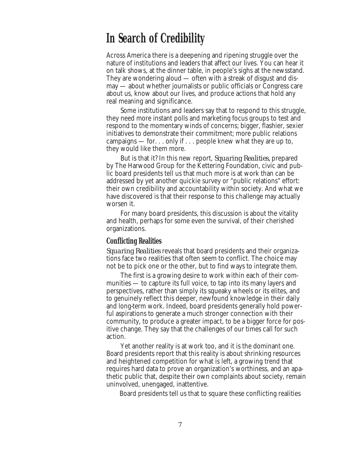### **In Search of Credibility**

Across America there is a deepening and ripening struggle over the nature of institutions and leaders that affect our lives. You can hear it on talk shows, at the dinner table, in people's sighs at the newsstand. They are wondering aloud — often with a streak of disgust and dismay — about whether journalists or public officials or Congress care about us, know about our lives, and produce actions that hold any real meaning and significance.

Some institutions and leaders say that to respond to this struggle, they need more instant polls and marketing focus groups to test and respond to the momentary winds of concerns; bigger, flashier, sexier initiatives to demonstrate their commitment; more public relations campaigns — for. . . only if . . . people knew what they are up to, they would like them more.

But is that it? In this new report, *Squaring Realities,* prepared by The Harwood Group for the Kettering Foundation, civic and public board presidents tell us that much more is at work than can be addressed by yet another quickie survey or "public relations" effort: their own credibility and accountability within society. And what we have discovered is that their response to this challenge may actually worsen it.

For many board presidents, this discussion is about the vitality and health, perhaps for some even the survival, of their cherished organizations.

#### **Conflicting Realities**

*Squaring Realities* reveals that board presidents and their organizations face two realities that often seem to conflict. The choice may not be to pick one or the other, but to find ways to integrate them.

The first is a growing desire to work within each of their communities — to capture its full voice, to tap into its many layers and perspectives, rather than simply its squeaky wheels or its elites, and to genuinely reflect this deeper, newfound knowledge in their daily and long-term work. Indeed, board presidents generally hold powerful aspirations to generate a much stronger connection with their community, to produce a greater impact, to be a bigger force for positive change. They say that the challenges of our times call for such action.

Yet another reality is at work too, and it is the dominant one. Board presidents report that this reality is about shrinking resources and heightened competition for what is left, a growing trend that requires hard data to prove an organization's worthiness, and an apathetic public that, despite their own complaints about society, remain uninvolved, unengaged, inattentive.

Board presidents tell us that to square these conflicting realities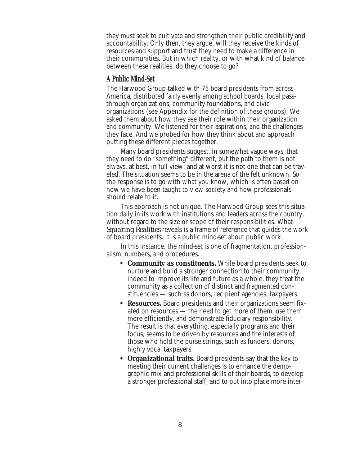they must seek to cultivate and strengthen their public credibility and accountability. Only then, they argue, will they receive the kinds of resources and support and trust they need to make a difference in their communities. But in which reality, or with what kind of balance between these realities, do they choose to go?

### **A Public Mind-Set**

The Harwood Group talked with 75 board presidents from across America, distributed fairly evenly among school boards, local passthrough organizations, community foundations, and civic organizations (see Appendix for the definition of these groups). We asked them about how they see their role within their organization and community. We listened for their aspirations, and the challenges they face. And we probed for how they think about and approach putting these different pieces together.

Many board presidents suggest, in somewhat vague ways, that they need to do "something" different, but the path to them is not always, at best, in full view; and at worst it is not one that can be traveled. The situation seems to be in the arena of the felt unknown. So the response is to go with what you know, which is often based on how we have been taught to view society and how professionals should relate to it.

This approach is not unique. The Harwood Group sees this situation daily in its work with institutions and leaders across the country, without regard to the size or scope of their responsibilities. What *Squaring Realities* reveals is a frame of reference that guides the work of board presidents. It is a public mind-set about public work.

In this instance, the mind-set is one of fragmentation, professionalism, numbers, and procedures.

- **Community as constituents.** While board presidents seek to nurture and build a stronger connection to their community, indeed to improve its life and future as a whole, they treat the community as a collection of distinct and fragmented constituencies — such as donors, recipient agencies, taxpayers.
- **Resources.** Board presidents and their organizations seem fixated on resources — the need to get more of them, use them more efficiently, and demonstrate fiduciary responsibility. The result is that everything, especially programs and their focus, seems to be driven by resources and the interests of those who hold the purse strings, such as funders, donors, highly vocal taxpayers.
- **Organizational traits.** Board presidents say that the key to meeting their current challenges is to enhance the demographic mix and professional skills of their boards, to develop a stronger professional staff, and to put into place more inter-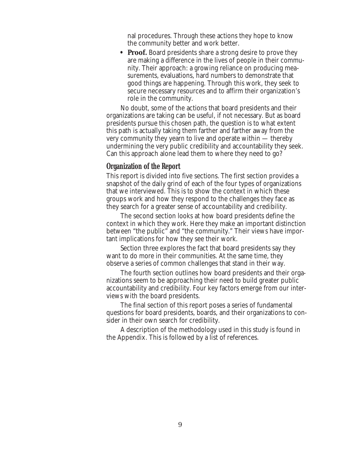nal procedures. Through these actions they hope to know the community better and work better.

• **Proof.** Board presidents share a strong desire to prove they are making a difference in the lives of people in their community. Their approach: a growing reliance on producing measurements, evaluations, hard numbers to demonstrate that good things are happening. Through this work, they seek to secure necessary resources and to affirm their organization's role in the community.

No doubt, some of the actions that board presidents and their organizations are taking can be useful, if not necessary. But as board presidents pursue this chosen path, the question is to what extent this path is actually taking them farther and farther away from the very community they yearn to live and operate within — thereby undermining the very public credibility and accountability they seek. Can this approach alone lead them to where they need to go?

### **Organization of the Report**

This report is divided into five sections. The first section provides a snapshot of the daily grind of each of the four types of organizations that we interviewed. This is to show the context in which these groups work and how they respond to the challenges they face as they search for a greater sense of accountability and credibility.

The second section looks at how board presidents define the context in which they work. Here they make an important distinction between "the public" and "the community." Their views have important implications for how they see their work.

Section three explores the fact that board presidents say they want to do more in their communities. At the same time, they observe a series of common challenges that stand in their way.

The fourth section outlines how board presidents and their organizations seem to be approaching their need to build greater public accountability and credibility. Four key factors emerge from our interviews with the board presidents.

The final section of this report poses a series of fundamental questions for board presidents, boards, and their organizations to consider in their own search for credibility.

A description of the methodology used in this study is found in the Appendix. This is followed by a list of references.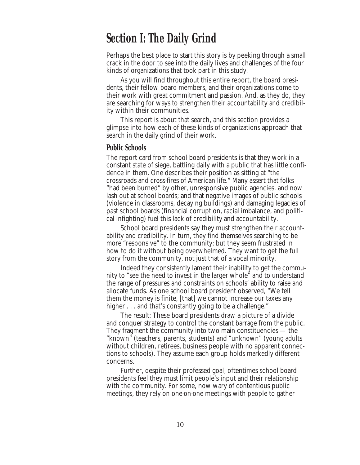### **Section I: The Daily Grind**

Perhaps the best place to start this story is by peeking through a small crack in the door to see into the daily lives and challenges of the four kinds of organizations that took part in this study.

As you will find throughout this entire report, the board presidents, their fellow board members, and their organizations come to their work with great commitment and passion. And, as they do, they are searching for ways to strengthen their accountability and credibility within their communities.

This report is about that search, and this section provides a glimpse into how each of these kinds of organizations approach that search in the daily grind of their work.

#### **Public Schools**

The report card from school board presidents is that they work in a constant state of siege, battling daily with a public that has little confidence in them. One describes their position as sitting at "the crossroads and cross-fires of American life." Many assert that folks "had been burned" by other, unresponsive public agencies, and now lash out at school boards; and that negative images of public schools (violence in classrooms, decaying buildings) and damaging legacies of past school boards (financial corruption, racial imbalance, and political infighting) fuel this lack of credibility and accountability.

School board presidents say they must strengthen their accountability and credibility. In turn, they find themselves searching to be more "responsive" to the community; but they seem frustrated in how to do it without being overwhelmed. They want to get the full story from the community, not just that of a vocal minority.

Indeed they consistently lament their inability to get the community to "see the need to invest in the larger whole" and to understand the range of pressures and constraints on schools' ability to raise and allocate funds. As one school board president observed, "We tell them the money is finite, [that] we cannot increase our taxes any higher . . . and that's constantly going to be a challenge."

The result: These board presidents draw a picture of a divide and conquer strategy to control the constant barrage from the public. They fragment the community into two main constituencies — the "known" (teachers, parents, students) and "unknown" (young adults without children, retirees, business people with no apparent connections to schools). They assume each group holds markedly different concerns.

Further, despite their professed goal, oftentimes school board presidents feel they must limit people's input and their relationship with the community. For some, now wary of contentious public meetings, they rely on one-on-one meetings with people to gather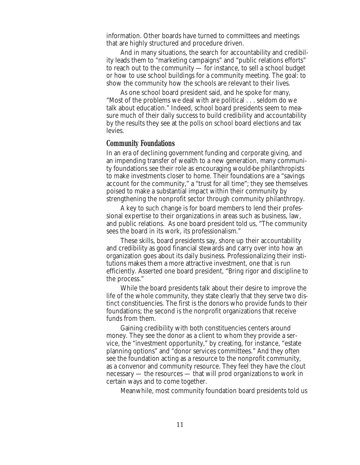information. Other boards have turned to committees and meetings that are highly structured and procedure driven.

And in many situations, the search for accountability and credibility leads them to "marketing campaigns" and "public relations efforts" to reach out to the community — for instance, to sell a school budget or how to use school buildings for a community meeting. The goal: to show the community how the schools are relevant to their lives.

As one school board president said, and he spoke for many, "Most of the problems we deal with are political . . . seldom do we talk about education." Indeed, school board presidents seem to measure much of their daily success to build credibility and accountability by the results they see at the polls on school board elections and tax levies.

#### **Community Foundations**

In an era of declining government funding and corporate giving, and an impending transfer of wealth to a new generation, many community foundations see their role as encouraging would-be philanthropists to make investments closer to home. Their foundations are a "savings account for the community," a "trust for all time"; they see themselves poised to make a substantial impact within their community by strengthening the nonprofit sector through community philanthropy.

A key to such change is for board members to lend their professional expertise to their organizations in areas such as business, law, and public relations. As one board president told us, "The community sees the board in its work, its professionalism."

These skills, board presidents say, shore up their accountability and credibility as good financial stewards and carry over into how an organization goes about its daily business. Professionalizing their institutions makes them a more attractive investment, one that is run efficiently. Asserted one board president, "Bring rigor and discipline to the process."

While the board presidents talk about their desire to improve the life of the whole community, they state clearly that they serve two distinct constituencies. The first is the donors who provide funds to their foundations; the second is the nonprofit organizations that receive funds from them.

Gaining credibility with both constituencies centers around money. They see the donor as a client to whom they provide a service, the "investment opportunity," by creating, for instance, "estate planning options" and "donor services committees." And they often see the foundation acting as a resource to the nonprofit community, as a convenor and community resource. They feel they have the clout necessary — the resources — that will prod organizations to work in certain ways and to come together.

Meanwhile, most community foundation board presidents told us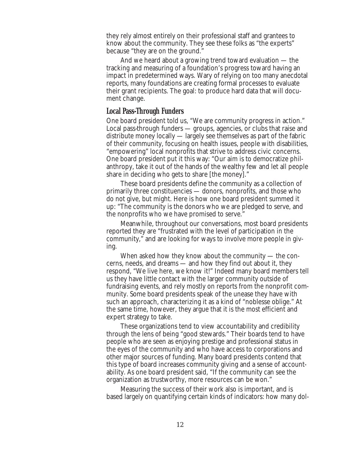they rely almost entirely on their professional staff and grantees to know about the community. They see these folks as "the experts" because "they are on the ground."

And we heard about a growing trend toward evaluation — the tracking and measuring of a foundation's progress toward having an impact in predetermined ways. Wary of relying on too many anecdotal reports, many foundations are creating formal processes to evaluate their grant recipients. The goal: to produce hard data that will document change.

### **Local Pass-Through Funders**

One board president told us, "We are community progress in action." Local pass-through funders — groups, agencies, or clubs that raise and distribute money locally — largely see themselves as part of the fabric of their community, focusing on health issues, people with disabilities, "empowering" local nonprofits that strive to address civic concerns. One board president put it this way: "Our aim is to democratize philanthropy, take it out of the hands of the wealthy few and let all people share in deciding who gets to share [the money]."

These board presidents define the community as a collection of primarily three constituencies — donors, nonprofits, and those who do not give, but might. Here is how one board president summed it up: "The community is the donors who we are pledged to serve, and the nonprofits who we have promised to serve."

Meanwhile, throughout our conversations, most board presidents reported they are "frustrated with the level of participation in the community," and are looking for ways to involve more people in giving.

When asked how they know about the community — the concerns, needs, and dreams — and how they find out about it, they respond, "We live here, we know it!" Indeed many board members tell us they have little contact with the larger community outside of fundraising events, and rely mostly on reports from the nonprofit community. Some board presidents speak of the unease they have with such an approach, characterizing it as a kind of "noblesse oblige." At the same time, however, they argue that it is the most efficient and expert strategy to take.

These organizations tend to view accountability and credibility through the lens of being "good stewards." Their boards tend to have people who are seen as enjoying prestige and professional status in the eyes of the community and who have access to corporations and other major sources of funding. Many board presidents contend that this type of board increases community giving and a sense of accountability. As one board president said, "If the community can see the organization as trustworthy, more resources can be won."

Measuring the success of their work also is important, and is based largely on quantifying certain kinds of indicators: how many dol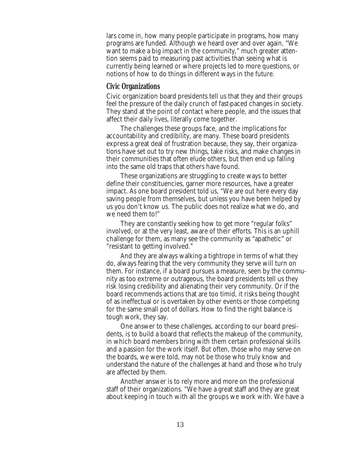lars come in, how many people participate in programs, how many programs are funded. Although we heard over and over again, "We want to make a big impact in the community," much greater attention seems paid to measuring past activities than seeing what is currently being learned or where projects led to more questions, or notions of how to do things in different ways in the future.

### **Civic Organizations**

Civic organization board presidents tell us that they and their groups feel the pressure of the daily crunch of fast-paced changes in society. They stand at the point of contact where people, and the issues that affect their daily lives, literally come together.

The challenges these groups face, and the implications for accountability and credibility, are many. These board presidents express a great deal of frustration because, they say, their organizations have set out to try new things, take risks, and make changes in their communities that often elude others, but then end up falling into the same old traps that others have found.

These organizations are struggling to create ways to better define their constituencies, garner more resources, have a greater impact. As one board president told us, "We are out here every day saving people from themselves, but unless you have been helped by us you don't know us. The public does not realize what we do, and we need them to!"

They are constantly seeking how to get more "regular folks" involved, or at the very least, aware of their efforts. This is an uphill challenge for them, as many see the community as "apathetic" or "resistant to getting involved."

And they are always walking a tightrope in terms of what they do, always fearing that the very community they serve will turn on them. For instance, if a board pursues a measure, seen by the community as too extreme or outrageous, the board presidents tell us they risk losing credibility and alienating their very community. Or if the board recommends actions that are too timid, it risks being thought of as ineffectual or is overtaken by other events or those competing for the same small pot of dollars. How to find the right balance is tough work, they say.

One answer to these challenges, according to our board presidents, is to build a board that reflects the makeup of the community, in which board members bring with them certain professional skills and a passion for the work itself. But often, those who may serve on the boards, we were told, may not be those who truly know and understand the nature of the challenges at hand and those who truly are affected by them.

Another answer is to rely more and more on the professional staff of their organizations. "We have a great staff and they are great about keeping in touch with all the groups we work with. We have a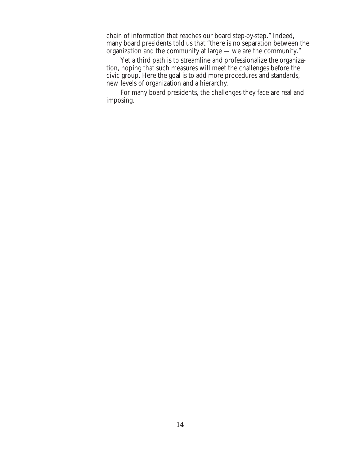chain of information that reaches our board step-by-step." Indeed, many board presidents told us that "there is no separation between the organization and the community at large — we are the community."

Yet a third path is to streamline and professionalize the organization, hoping that such measures will meet the challenges before the civic group. Here the goal is to add more procedures and standards, new levels of organization and a hierarchy.

For many board presidents, the challenges they face are real and imposing.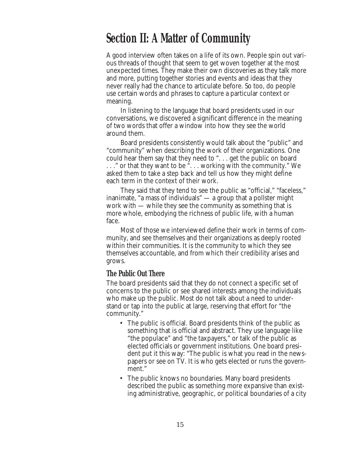### **Section II: A Matter of Community**

A good interview often takes on a life of its own. People spin out various threads of thought that seem to get woven together at the most unexpected times. They make their own discoveries as they talk more and more, putting together stories and events and ideas that they never really had the chance to articulate before. So too, do people use certain words and phrases to capture a particular context or meaning.

In listening to the language that board presidents used in our conversations, we discovered a significant difference in the meaning of two words that offer a window into how they see the world around them.

Board presidents consistently would talk about the "public" and "community" when describing the work of their organizations. One could hear them say that they need to ". . . get the public on board . . ." or that they want to be ". . . working with the community." We asked them to take a step back and tell us how they might define each term in the context of their work.

They said that they tend to see the public as "official," "faceless," inanimate, "a mass of individuals" — a group that a pollster might work with — while they see the community as something that is more whole, embodying the richness of public life, with a human face.

Most of those we interviewed define their work in terms of community, and see themselves and their organizations as deeply rooted within their communities. It is the community to which they see themselves accountable, and from which their credibility arises and grows.

### **The Public Out There**

The board presidents said that they do not connect a specific set of concerns to the public or see shared interests among the individuals who make up the public. Most do not talk about a need to understand or tap into the public at large, reserving that effort for "the community."

- The public is official. Board presidents think of the public as something that is official and abstract. They use language like "the populace" and "the taxpayers," or talk of the public as elected officials or government institutions. One board president put it this way: "The public is what you read in the newspapers or see on TV. It is who gets elected or runs the government."
- The public knows no boundaries. Many board presidents described the public as something more expansive than existing administrative, geographic, or political boundaries of a city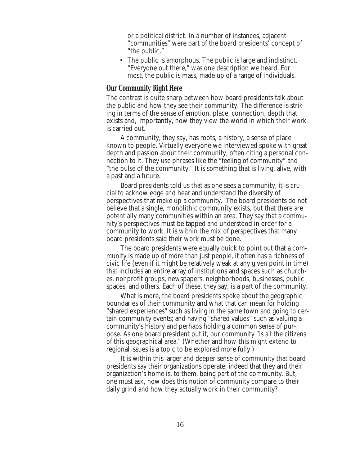or a political district. In a number of instances, adjacent "communities" were part of the board presidents' concept of "the public."

• The public is amorphous. The public is large and indistinct. "Everyone out there," was one description we heard. For most, the public is mass, made up of a range of individuals.

### **Our Community Right Here**

The contrast is quite sharp between how board presidents talk about the public and how they see their community. The difference is striking in terms of the sense of emotion, place, connection, depth that exists and, importantly, how they view the world in which their work is carried out.

A community, they say, has roots, a history, a sense of place known to people. Virtually everyone we interviewed spoke with great depth and passion about their community, often citing a personal connection to it. They use phrases like the "feeling of community" and "the pulse of the community." It is something that is living, alive, with a past and a future.

Board presidents told us that as one sees a community, it is crucial to acknowledge and hear and understand the diversity of perspectives that make up a community. The board presidents do not believe that a single, monolithic community exists, but that there are potentially many communities within an area. They say that a community's perspectives must be tapped and understood in order for a community to work. It is within the mix of perspectives that many board presidents said their work must be done.

The board presidents were equally quick to point out that a community is made up of more than just people, it often has a richness of civic life (even if it might be relatively weak at any given point in time) that includes an entire array of institutions and spaces such as churches, nonprofit groups, newspapers, neighborhoods, businesses, public spaces, and others. Each of these, they say, is a part of the community.

What is more, the board presidents spoke about the geographic boundaries of their community and what that can mean for holding "shared experiences" such as living in the same town and going to certain community events; and having "shared values" such as valuing a community's history and perhaps holding a common sense of purpose. As one board president put it, our community "is all the citizens of this geographical area." (Whether and how this might extend to regional issues is a topic to be explored more fully.)

It is within this larger and deeper sense of community that board presidents say their organizations operate; indeed that they and their organization's home is, to them, being part of the community. But, one must ask, how does this notion of community compare to their daily grind and how they actually work in their community?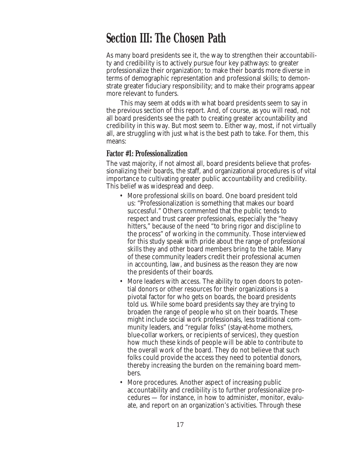### **Section III: The Chosen Path**

As many board presidents see it, the way to strengthen their accountability and credibility is to actively pursue four key pathways: to greater professionalize their organization; to make their boards more diverse in terms of demographic representation and professional skills; to demonstrate greater fiduciary responsibility; and to make their programs appear more relevant to funders.

This may seem at odds with what board presidents seem to say in the previous section of this report. And, of course, as you will read, not all board presidents see the path to creating greater accountability and credibility in this way. But most seem to. Either way, most, if not virtually all, are struggling with just what is the best path to take. For them, this means:

#### **Factor #1: Professionalization**

The vast majority, if not almost all, board presidents believe that professionalizing their boards, the staff, and organizational procedures is of vital importance to cultivating greater public accountability and credibility. This belief was widespread and deep.

- More professional skills on board. One board president told us: "Professionalization is something that makes our board successful." Others commented that the public tends to respect and trust career professionals, especially the "heavy hitters," because of the need "to bring rigor and discipline to the process" of working in the community. Those interviewed for this study speak with pride about the range of professional skills they and other board members bring to the table. Many of these community leaders credit their professional acumen in accounting, law, and business as the reason they are now the presidents of their boards.
- More leaders with access. The ability to open doors to potential donors or other resources for their organizations is a pivotal factor for who gets on boards, the board presidents told us. While some board presidents say they are trying to broaden the range of people who sit on their boards. These might include social work professionals, less traditional community leaders, and "regular folks" (stay-at-home mothers, blue-collar workers, or recipients of services), they question how much these kinds of people will be able to contribute to the overall work of the board. They do not believe that such folks could provide the access they need to potential donors, thereby increasing the burden on the remaining board members.
- More procedures. Another aspect of increasing public accountability and credibility is to further professionalize procedures — for instance, in how to administer, monitor, evaluate, and report on an organization's activities. Through these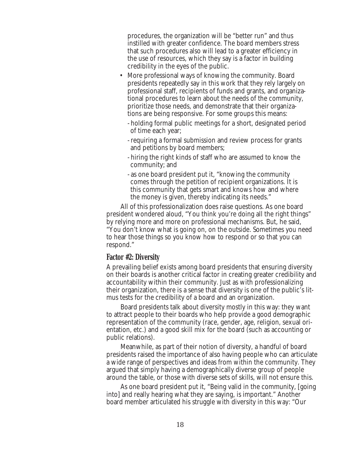procedures, the organization will be "better run" and thus instilled with greater confidence. The board members stress that such procedures also will lead to a greater efficiency in the use of resources, which they say is a factor in building credibility in the eyes of the public.

- More professional ways of knowing the community. Board presidents repeatedly say in this work that they rely largely on professional staff, recipients of funds and grants, and organizational procedures to learn about the needs of the community, prioritize those needs, and demonstrate that their organizations are being responsive. For some groups this means:
	- holding formal public meetings for a short, designated period of time each year;
	- requiring a formal submission and review process for grants and petitions by board members;
	- hiring the right kinds of staff who are assumed to know the community; and
	- as one board president put it, "knowing the community comes through the petition of recipient organizations. It is this community that gets smart and knows how and where the money is given, thereby indicating its needs."

All of this professionalization does raise questions. As one board president wondered aloud, "You think you're doing all the right things" by relying more and more on professional mechanisms. But, he said, "You don't know what is going on, on the outside. Sometimes you need to hear those things so you know how to respond or so that you can respond."

### **Factor #2: Diversity**

A prevailing belief exists among board presidents that ensuring diversity on their boards is another critical factor in creating greater credibility and accountability within their community. Just as with professionalizing their organization, there is a sense that diversity is one of the public's litmus tests for the credibility of a board and an organization.

Board presidents talk about diversity mostly in this way: they want to attract people to their boards who help provide a good demographic representation of the community (race, gender, age, religion, sexual orientation, etc.) and a good skill mix for the board (such as accounting or public relations).

Meanwhile, as part of their notion of diversity, a handful of board presidents raised the importance of also having people who can articulate a wide range of perspectives and ideas from within the community. They argued that simply having a demographically diverse group of people around the table, or those with diverse sets of skills, will not ensure this.

As one board president put it, "Being valid in the community, [going into] and really hearing what they are saying, is important." Another board member articulated his struggle with diversity in this way: "Our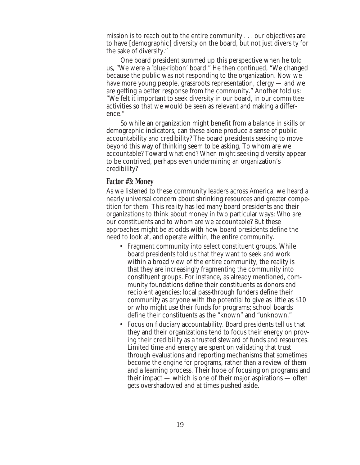mission is to reach out to the entire community . . . our objectives are to have [demographic] diversity on the board, but not just diversity for the sake of diversity."

One board president summed up this perspective when he told us, "We were a 'blue-ribbon' board." He then continued, "We changed because the public was not responding to the organization. Now we have more young people, grassroots representation, clergy — and we are getting a better response from the community." Another told us: "We felt it important to seek diversity in our board, in our committee activities so that we would be seen as relevant and making a difference."

So while an organization might benefit from a balance in skills or demographic indicators, can these alone produce a sense of public accountability and credibility? The board presidents seeking to move beyond this way of thinking seem to be asking, To whom are we accountable? Toward what end? When might seeking diversity appear to be contrived, perhaps even undermining an organization's credibility?

### **Factor #3: Money**

As we listened to these community leaders across America, we heard a nearly universal concern about shrinking resources and greater competition for them. This reality has led many board presidents and their organizations to think about money in two particular ways: Who are our constituents and to whom are we accountable? But these approaches might be at odds with how board presidents define the need to look at, and operate within, the entire community.

- Fragment community into select constituent groups. While board presidents told us that they want to seek and work within a broad view of the entire community, the reality is that they are increasingly fragmenting the community into constituent groups. For instance, as already mentioned, community foundations define their constituents as donors and recipient agencies; local pass-through funders define their community as anyone with the potential to give as little as \$10 or who might use their funds for programs; school boards define their constituents as the "known" and "unknown."
- Focus on fiduciary accountability. Board presidents tell us that they and their organizations tend to focus their energy on proving their credibility as a trusted steward of funds and resources. Limited time and energy are spent on validating that trust through evaluations and reporting mechanisms that sometimes become the engine for programs, rather than a review of them and a learning process. Their hope of focusing on programs and their impact — which is one of their major aspirations — often gets overshadowed and at times pushed aside.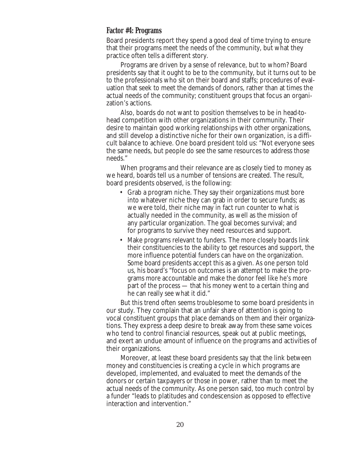#### **Factor #4: Programs**

Board presidents report they spend a good deal of time trying to ensure that their programs meet the needs of the community, but what they practice often tells a different story.

Programs are driven by a sense of relevance, but to whom? Board presidents say that it ought to be to the community, but it turns out to be to the professionals who sit on their board and staffs; procedures of evaluation that seek to meet the demands of donors, rather than at times the actual needs of the community; constituent groups that focus an organization's actions.

Also, boards do not want to position themselves to be in head-tohead competition with other organizations in their community. Their desire to maintain good working relationships with other organizations, and still develop a distinctive niche for their own organization, is a difficult balance to achieve. One board president told us: "Not everyone sees the same needs, but people do see the same resources to address those needs."

When programs and their relevance are as closely tied to money as we heard, boards tell us a number of tensions are created. The result, board presidents observed, is the following:

- Grab a program niche. They say their organizations must bore into whatever niche they can grab in order to secure funds; as we were told, their niche may in fact run counter to what is actually needed in the community, as well as the mission of any particular organization. The goal becomes survival; and for programs to survive they need resources and support.
- Make programs relevant to funders. The more closely boards link their constituencies to the ability to get resources and support, the more influence potential funders can have on the organization. Some board presidents accept this as a given. As one person told us, his board's "focus on outcomes is an attempt to make the programs more accountable and make the donor feel like he's more part of the process — that his money went to a certain thing and he can really see what it did."

But this trend often seems troublesome to some board presidents in our study. They complain that an unfair share of attention is going to vocal constituent groups that place demands on them and their organizations. They express a deep desire to break away from these same voices who tend to control financial resources, speak out at public meetings, and exert an undue amount of influence on the programs and activities of their organizations.

Moreover, at least these board presidents say that the link between money and constituencies is creating a cycle in which programs are developed, implemented, and evaluated to meet the demands of the donors or certain taxpayers or those in power, rather than to meet the actual needs of the community. As one person said, too much control by a funder "leads to platitudes and condescension as opposed to effective interaction and intervention."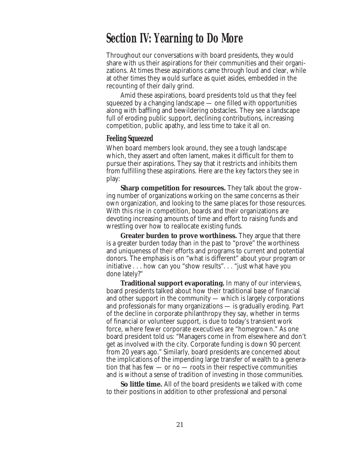### **Section IV: Yearning to Do More**

Throughout our conversations with board presidents, they would share with us their aspirations for their communities and their organizations. At times these aspirations came through loud and clear, while at other times they would surface as quiet asides, embedded in the recounting of their daily grind.

Amid these aspirations, board presidents told us that they feel squeezed by a changing landscape — one filled with opportunities along with baffling and bewildering obstacles. They see a landscape full of eroding public support, declining contributions, increasing competition, public apathy, and less time to take it all on.

### **Feeling Squeezed**

When board members look around, they see a tough landscape which, they assert and often lament, makes it difficult for them to pursue their aspirations. They say that it restricts and inhibits them from fulfilling these aspirations. Here are the key factors they see in play:

**Sharp competition for resources.** They talk about the growing number of organizations working on the same concerns as their own organization, and looking to the same places for those resources. With this rise in competition, boards and their organizations are devoting increasing amounts of time and effort to raising funds and wrestling over how to reallocate existing funds.

**Greater burden to prove worthiness.** They argue that there is a greater burden today than in the past to "prove" the worthiness and uniqueness of their efforts and programs to current and potential donors. The emphasis is on "what is different" about your program or initiative . . . how can you "show results". . . "just what have you done lately?"

**Traditional support evaporating.** In many of our interviews, board presidents talked about how their traditional base of financial and other support in the community — which is largely corporations and professionals for many organizations — is gradually eroding. Part of the decline in corporate philanthropy they say, whether in terms of financial or volunteer support, is due to today's transient work force, where fewer corporate executives are "homegrown." As one board president told us: "Managers come in from elsewhere and don't get as involved with the city. Corporate funding is down 90 percent from 20 years ago." Similarly, board presidents are concerned about the implications of the impending large transfer of wealth to a generation that has few  $-$  or no  $-$  roots in their respective communities and is without a sense of tradition of investing in those communities.

**So little time.** All of the board presidents we talked with come to their positions in addition to other professional and personal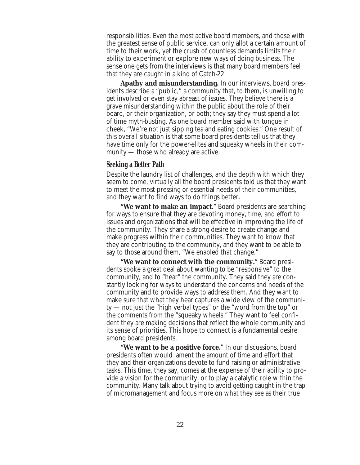responsibilities. Even the most active board members, and those with the greatest sense of public service, can only allot a certain amount of time to their work, yet the crush of countless demands limits their ability to experiment or explore new ways of doing business. The sense one gets from the interviews is that many board members feel that they are caught in a kind of Catch-22.

**Apathy and misunderstanding.** In our interviews, board presidents describe a "public," a community that, to them, is unwilling to get involved or even stay abreast of issues. They believe there is a grave misunderstanding within the public about the role of their board, or their organization, or both; they say they must spend a lot of time myth-busting. As one board member said with tongue in cheek, "We're not just sipping tea and eating cookies." One result of this overall situation is that some board presidents tell us that they have time only for the power-elites and squeaky wheels in their community — those who already are active.

### **Seeking a Better Path**

Despite the laundry list of challenges, and the depth with which they seem to come, virtually all the board presidents told us that they want to meet the most pressing or essential needs of their communities, and they want to find ways to do things better.

**"We want to make an impact.**" Board presidents are searching for ways to ensure that they are devoting money, time, and effort to issues and organizations that will be effective in improving the life of the community. They share a strong desire to create change and make progress within their communities. They want to know that they are contributing to the community, and they want to be able to say to those around them, "We enabled that change."

**"We want to connect with the community.**" Board presidents spoke a great deal about wanting to be "responsive" to the community, and to "hear" the community. They said they are constantly looking for ways to understand the concerns and needs of the community and to provide ways to address them. And they want to make sure that what they hear captures a wide view of the community — not just the "high verbal types" or the "word from the top" or the comments from the "squeaky wheels." They want to feel confident they are making decisions that reflect the whole community and its sense of priorities. This hope to connect is a fundamental desire among board presidents.

**"We want to be a positive force.**" In our discussions, board presidents often would lament the amount of time and effort that they and their organizations devote to fund raising or administrative tasks. This time, they say, comes at the expense of their ability to provide a vision for the community, or to play a catalytic role within the community. Many talk about trying to avoid getting caught in the trap of micromanagement and focus more on what they see as their true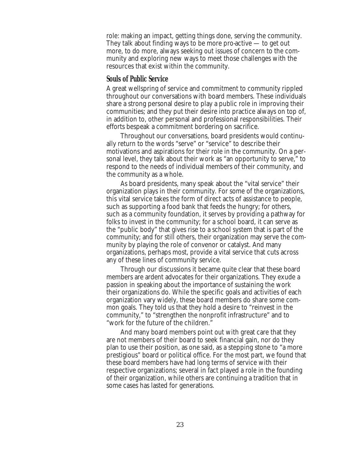role: making an impact, getting things done, serving the community. They talk about finding ways to be more pro-active  $-$  to get out more, to do more, always seeking out issues of concern to the community and exploring new ways to meet those challenges with the resources that exist within the community.

### **Souls of Public Service**

A great wellspring of service and commitment to community rippled throughout our conversations with board members. These individuals share a strong personal desire to play a public role in improving their communities; and they put their desire into practice always on top of, in addition to, other personal and professional responsibilities. Their efforts bespeak a commitment bordering on sacrifice.

Throughout our conversations, board presidents would continually return to the words "serve" or "service" to describe their motivations and aspirations for their role in the community. On a personal level, they talk about their work as "an opportunity to serve," to respond to the needs of individual members of their community, and the community as a whole.

As board presidents, many speak about the "vital service" their organization plays in their community. For some of the organizations, this vital service takes the form of direct acts of assistance to people, such as supporting a food bank that feeds the hungry; for others, such as a community foundation, it serves by providing a pathway for folks to invest in the community; for a school board, it can serve as the "public body" that gives rise to a school system that is part of the community; and for still others, their organization may serve the community by playing the role of convenor or catalyst. And many organizations, perhaps most, provide a vital service that cuts across any of these lines of community service.

Through our discussions it became quite clear that these board members are ardent advocates for their organizations. They exude a passion in speaking about the importance of sustaining the work their organizations do. While the specific goals and activities of each organization vary widely, these board members do share some common goals. They told us that they hold a desire to "reinvest in the community," to "strengthen the nonprofit infrastructure" and to "work for the future of the children."

And many board members point out with great care that they are not members of their board to seek financial gain, nor do they plan to use their position, as one said, as a stepping stone to "a more prestigious" board or political office. For the most part, we found that these board members have had long terms of service with their respective organizations; several in fact played a role in the founding of their organization, while others are continuing a tradition that in some cases has lasted for generations.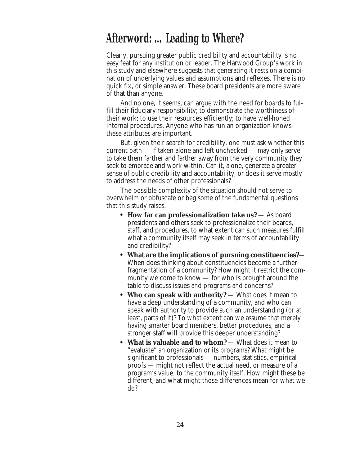### **Afterword: … Leading to Where?**

Clearly, pursuing greater public credibility and accountability is no easy feat for any institution or leader. The Harwood Group's work in this study and elsewhere suggests that generating it rests on a combination of underlying values and assumptions and reflexes. There is no quick fix, or simple answer. These board presidents are more aware of that than anyone.

And no one, it seems, can argue with the need for boards to fulfill their fiduciary responsibility; to demonstrate the worthiness of their work; to use their resources efficiently; to have well-honed internal procedures. Anyone who has run an organization knows these attributes are important.

But, given their search for credibility, one must ask whether this current path — if taken alone and left unchecked — may only serve to take them farther and farther away from the very community they seek to embrace and work within. Can it, alone, generate a greater sense of public credibility and accountability, or does it serve mostly to address the needs of other professionals?

The possible complexity of the situation should not serve to overwhelm or obfuscate or beg some of the fundamental questions that this study raises.

- **How far can professionalization take us?** As board presidents and others seek to professionalize their boards, staff, and procedures, to what extent can such measures fulfill what a community itself may seek in terms of accountability and credibility?
- **What are the implications of pursuing constituencies?** When does thinking about constituencies become a further fragmentation of a community? How might it restrict the community we come to know — for who is brought around the table to discuss issues and programs and concerns?
- **Who can speak with authority?** What does it mean to have a deep understanding of a community, and who can speak with authority to provide such an understanding (or at least, parts of it)? To what extent can we assume that merely having smarter board members, better procedures, and a stronger staff will provide this deeper understanding?
- **What is valuable and to whom?** What does it mean to "evaluate" an organization or its programs? What might be significant to professionals — numbers, statistics, empirical proofs — might not reflect the actual need, or measure of a program's value, to the community itself. How might these be different, and what might those differences mean for what we do?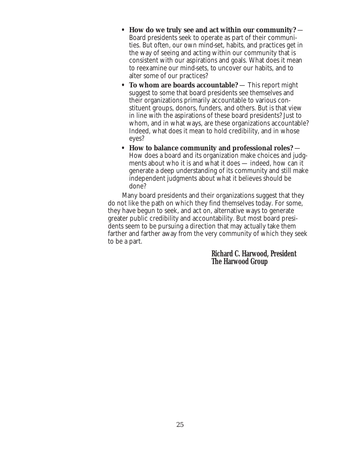- **How do we truly see and act within our community?**  Board presidents seek to operate as part of their communities. But often, our own mind-set, habits, and practices get in the way of seeing and acting within our community that is consistent with our aspirations and goals. What does it mean to reexamine our mind-sets, to uncover our habits, and to alter some of our practices?
- **To whom are boards accountable?** This report might suggest to some that board presidents see themselves and their organizations primarily accountable to various constituent groups, donors, funders, and others. But is that view in line with the aspirations of these board presidents? Just to whom, and in what ways, are these organizations accountable? Indeed, what does it mean to hold credibility, and in whose eyes?
- **How to balance community and professional roles?**  How does a board and its organization make choices and judgments about who it is and what it does — indeed, how can it generate a deep understanding of its community and still make independent judgments about what it believes should be done?

Many board presidents and their organizations suggest that they do not like the path on which they find themselves today. For some, they have begun to seek, and act on, alternative ways to generate greater public credibility and accountability. But most board presidents seem to be pursuing a direction that may actually take them farther and farther away from the very community of which they seek to be a part.

> **Richard C. Harwood, President The Harwood Group**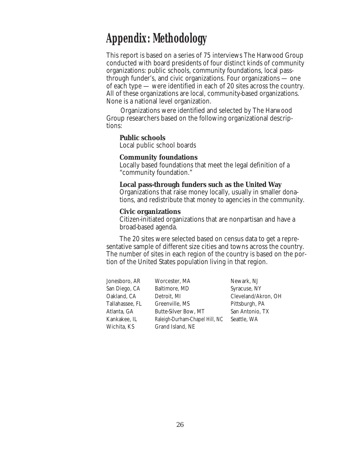### **Appendix: Methodology**

This report is based on a series of 75 interviews The Harwood Group conducted with board presidents of four distinct kinds of community organizations: public schools, community foundations, local passthrough funder's, and civic organizations. Four organizations — one of each type — were identified in each of 20 sites across the country. All of these organizations are local, community-based organizations. None is a national level organization.

Organizations were identified and selected by The Harwood Group researchers based on the following organizational descriptions:

#### **Public schools**

Local public school boards

#### **Community foundations**

Locally based foundations that meet the legal definition of a "community foundation."

#### **Local pass-through funders such as the United Way**

Organizations that raise money locally, usually in smaller donations, and redistribute that money to agencies in the community.

#### **Civic organizations**

Citizen-initiated organizations that are nonpartisan and have a broad-based agenda.

The 20 sites were selected based on census data to get a representative sample of different size cities and towns across the country. The number of sites in each region of the country is based on the portion of the United States population living in that region.

| Jonesboro, AR   | Worcester, MA                  | Newark, NJ          |
|-----------------|--------------------------------|---------------------|
| San Diego, CA   | Baltimore, MD                  | Syracuse, NY        |
| Oakland, CA     | Detroit, MI                    | Cleveland/Akron, OH |
| Tallahassee, FL | Greenville, MS                 | Pittsburgh, PA      |
| Atlanta, GA     | <b>Butte-Silver Bow, MT</b>    | San Antonio, TX     |
| Kankakee, IL    | Raleigh-Durham-Chapel Hill, NC | Seattle, WA         |
| Wichita, KS     | Grand Island, NE               |                     |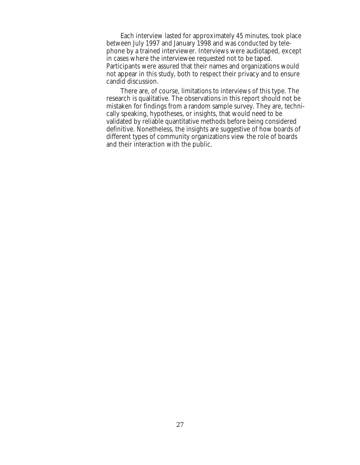Each interview lasted for approximately 45 minutes, took place between July 1997 and January 1998 and was conducted by telephone by a trained interviewer. Interviews were audiotaped, except in cases where the interviewee requested not to be taped. Participants were assured that their names and organizations would not appear in this study, both to respect their privacy and to ensure candid discussion.

There are, of course, limitations to interviews of this type. The research is qualitative. The observations in this report should not be mistaken for findings from a random sample survey. They are, technically speaking, hypotheses, or insights, that would need to be validated by reliable quantitative methods before being considered definitive. Nonetheless, the insights are suggestive of how boards of different types of community organizations view the role of boards and their interaction with the public.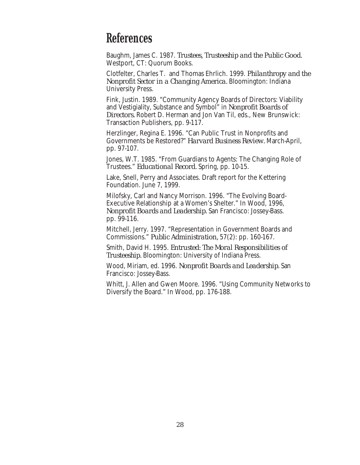### **References**

Baughm, James C. 1987. *Trustees, Trusteeship and the Public Good.* Westport, CT: Quorum Books.

Clotfelter, Charles T. and Thomas Ehrlich. 1999. *Philanthropy and the Nonprofit Sector in a Changing America.* Bloomington: Indiana University Press.

Fink, Justin. 1989. "Community Agency Boards of Directors: Viability and Vestigiality, Substance and Symbol" in *Nonprofit Boards of Directors.* Robert D. Herman and Jon Van Til, eds., New Brunswick: Transaction Publishers, pp. 9-117.

Herzlinger, Regina E. 1996. "Can Public Trust in Nonprofits and Governments be Restored?" *Harvard Business Review.* March-April, pp. 97-107.

Jones, W.T. 1985. "From Guardians to Agents: The Changing Role of Trustees." *Educational Record.* Spring, pp. 10-15.

Lake, Snell, Perry and Associates. Draft report for the Kettering Foundation. June 7, 1999.

Milofsky, Carl and Nancy Morrison. 1996. "The Evolving Board-Executive Relationship at a Women's Shelter." In Wood, 1996, *Nonprofit Boards and Leadership.* San Francisco: Jossey-Bass. pp. 99-116.

Mitchell, Jerry. 1997. "Representation in Government Boards and Commissions." *Public Administration,* 57(2): pp. 160-167.

Smith, David H. 1995. *Entrusted: The Moral Responsibilities of Trusteeship.* Bloomington: University of Indiana Press.

Wood, Miriam, ed. 1996. *Nonprofit Boards and Leadership.* San Francisco: Jossey-Bass.

Whitt, J. Allen and Gwen Moore. 1996. "Using Community Networks to Diversify the Board." In Wood, pp. 176-188.